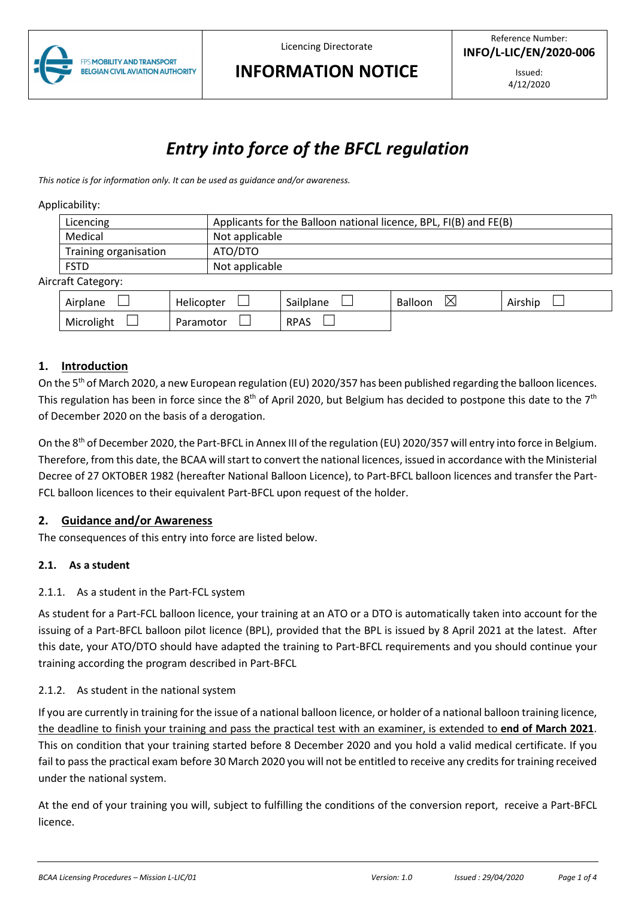

## **INFORMATION NOTICE**

# *Entry into force of the BFCL regulation*

*This notice is for information only. It can be used as guidance and/or awareness.* 

#### Applicability:

|                    | Licencing              |           | Applicants for the Balloon national licence, BPL, FI(B) and FE(B) |                |                     |         |  |
|--------------------|------------------------|-----------|-------------------------------------------------------------------|----------------|---------------------|---------|--|
|                    | Medical                |           | Not applicable                                                    |                |                     |         |  |
|                    | Training organisation  |           | ATO/DTO                                                           |                |                     |         |  |
|                    | <b>FSTD</b>            |           |                                                                   | Not applicable |                     |         |  |
| Aircraft Category: |                        |           |                                                                   |                |                     |         |  |
|                    | Airplane<br>Helicopter |           |                                                                   | Sailplane      | ⊠<br><b>Balloon</b> | Airship |  |
|                    | Microlight             | Paramotor |                                                                   | <b>RPAS</b>    |                     |         |  |

## **1. Introduction**

On the 5<sup>th</sup> of March 2020, a new European regulation (EU) 2020/357 has been published regarding the balloon licences. This regulation has been in force since the 8<sup>th</sup> of April 2020, but Belgium has decided to postpone this date to the 7<sup>th</sup> of December 2020 on the basis of a derogation.

On the 8<sup>th</sup> of December 2020, the Part-BFCL in Annex III of the regulation (EU) 2020/357 will entry into force in Belgium. Therefore, from this date, the BCAA will start to convert the national licences, issued in accordance with the Ministerial Decree of 27 OKTOBER 1982 (hereafter National Balloon Licence), to Part-BFCL balloon licences and transfer the Part-FCL balloon licences to their equivalent Part-BFCL upon request of the holder.

## **2. Guidance and/or Awareness**

The consequences of this entry into force are listed below.

#### **2.1. As a student**

## 2.1.1. As a student in the Part-FCL system

As student for a Part-FCL balloon licence, your training at an ATO or a DTO is automatically taken into account for the issuing of a Part-BFCL balloon pilot licence (BPL), provided that the BPL is issued by 8 April 2021 at the latest. After this date, your ATO/DTO should have adapted the training to Part-BFCL requirements and you should continue your training according the program described in Part-BFCL

#### 2.1.2. As student in the national system

If you are currently in training for the issue of a national balloon licence, or holder of a national balloon training licence, the deadline to finish your training and pass the practical test with an examiner, is extended to **end of March 2021**. This on condition that your training started before 8 December 2020 and you hold a valid medical certificate. If you fail to pass the practical exam before 30 March 2020 you will not be entitled to receive any credits for training received under the national system.

At the end of your training you will, subject to fulfilling the conditions of the conversion report, receive a Part-BFCL licence.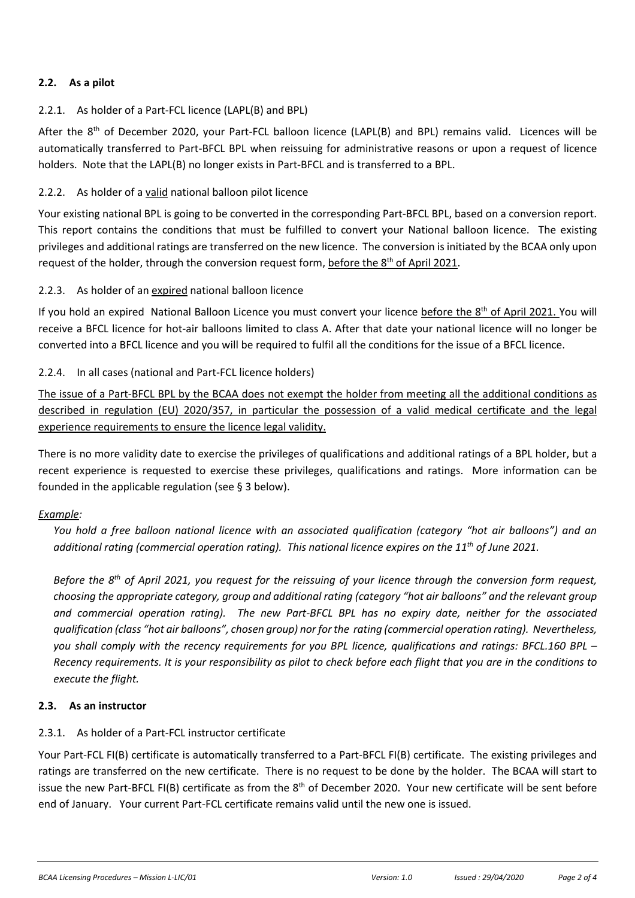## **2.2. As a pilot**

## 2.2.1. As holder of a Part-FCL licence (LAPL(B) and BPL)

After the 8<sup>th</sup> of December 2020, your Part-FCL balloon licence (LAPL(B) and BPL) remains valid. Licences will be automatically transferred to Part-BFCL BPL when reissuing for administrative reasons or upon a request of licence holders. Note that the LAPL(B) no longer exists in Part-BFCL and is transferred to a BPL.

### 2.2.2. As holder of a valid national balloon pilot licence

Your existing national BPL is going to be converted in the corresponding Part-BFCL BPL, based on a conversion report. This report contains the conditions that must be fulfilled to convert your National balloon licence. The existing privileges and additional ratings are transferred on the new licence. The conversion is initiated by the BCAA only upon request of the holder, through the conversion request form, before the 8<sup>th</sup> of April 2021.

#### 2.2.3. As holder of an expired national balloon licence

If you hold an expired National Balloon Licence you must convert your licence before the 8<sup>th</sup> of April 2021. You will receive a BFCL licence for hot-air balloons limited to class A. After that date your national licence will no longer be converted into a BFCL licence and you will be required to fulfil all the conditions for the issue of a BFCL licence.

#### 2.2.4. In all cases (national and Part-FCL licence holders)

The issue of a Part-BFCL BPL by the BCAA does not exempt the holder from meeting all the additional conditions as described in regulation (EU) 2020/357, in particular the possession of a valid medical certificate and the legal experience requirements to ensure the licence legal validity.

There is no more validity date to exercise the privileges of qualifications and additional ratings of a BPL holder, but a recent experience is requested to exercise these privileges, qualifications and ratings. More information can be founded in the applicable regulation (see § 3 below).

#### *Example:*

*You hold a free balloon national licence with an associated qualification (category "hot air balloons") and an additional rating (commercial operation rating). This national licence expires on the 11th of June 2021.* 

*Before the 8th of April 2021, you request for the reissuing of your licence through the conversion form request, choosing the appropriate category, group and additional rating (category "hot air balloons" and the relevant group and commercial operation rating). The new Part-BFCL BPL has no expiry date, neither for the associated qualification (class "hot air balloons", chosen group) nor for the rating (commercial operation rating). Nevertheless, you shall comply with the recency requirements for you BPL licence, qualifications and ratings: BFCL.160 BPL – Recency requirements. It is your responsibility as pilot to check before each flight that you are in the conditions to execute the flight.* 

#### **2.3. As an instructor**

## 2.3.1. As holder of a Part-FCL instructor certificate

Your Part-FCL FI(B) certificate is automatically transferred to a Part-BFCL FI(B) certificate. The existing privileges and ratings are transferred on the new certificate. There is no request to be done by the holder. The BCAA will start to issue the new Part-BFCL FI(B) certificate as from the  $8<sup>th</sup>$  of December 2020. Your new certificate will be sent before end of January. Your current Part-FCL certificate remains valid until the new one is issued.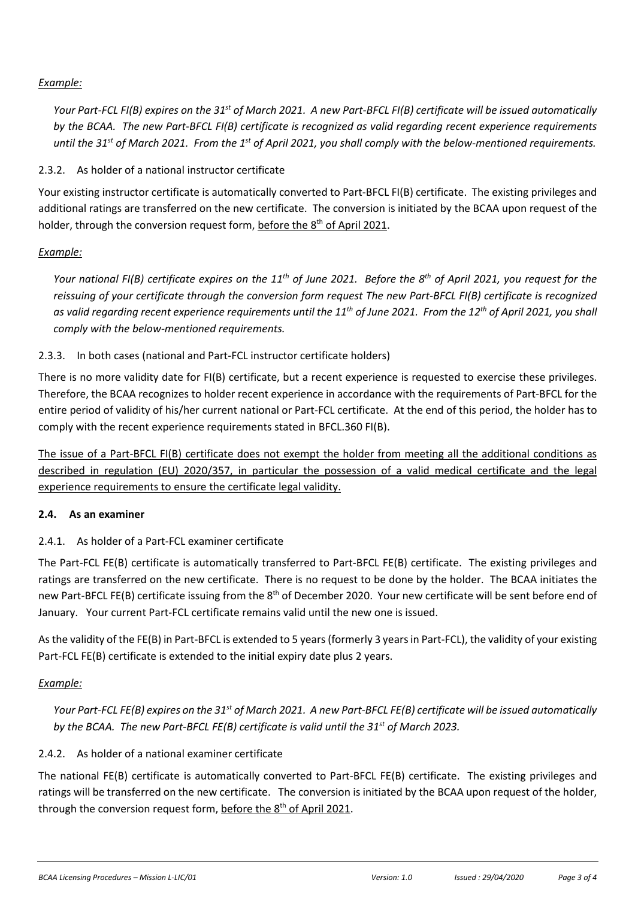## *Example:*

*Your Part-FCL FI(B) expires on the 31st of March 2021. A new Part-BFCL FI(B) certificate will be issued automatically by the BCAA. The new Part-BFCL FI(B) certificate is recognized as valid regarding recent experience requirements until the 31st of March 2021. From the 1st of April 2021, you shall comply with the below-mentioned requirements.* 

2.3.2. As holder of a national instructor certificate

Your existing instructor certificate is automatically converted to Part-BFCL FI(B) certificate. The existing privileges and additional ratings are transferred on the new certificate. The conversion is initiated by the BCAA upon request of the holder, through the conversion request form, before the 8<sup>th</sup> of April 2021.

## *Example:*

*Your national FI(B) certificate expires on the 11th of June 2021. Before the 8th of April 2021, you request for the reissuing of your certificate through the conversion form request The new Part-BFCL FI(B) certificate is recognized as valid regarding recent experience requirements until the 11th of June 2021. From the 12th of April 2021, you shall comply with the below-mentioned requirements.* 

## 2.3.3. In both cases (national and Part-FCL instructor certificate holders)

There is no more validity date for FI(B) certificate, but a recent experience is requested to exercise these privileges. Therefore, the BCAA recognizes to holder recent experience in accordance with the requirements of Part-BFCL for the entire period of validity of his/her current national or Part-FCL certificate. At the end of this period, the holder has to comply with the recent experience requirements stated in BFCL.360 FI(B).

The issue of a Part-BFCL FI(B) certificate does not exempt the holder from meeting all the additional conditions as described in regulation (EU) 2020/357, in particular the possession of a valid medical certificate and the legal experience requirements to ensure the certificate legal validity.

## **2.4. As an examiner**

## 2.4.1. As holder of a Part-FCL examiner certificate

The Part-FCL FE(B) certificate is automatically transferred to Part-BFCL FE(B) certificate. The existing privileges and ratings are transferred on the new certificate. There is no request to be done by the holder. The BCAA initiates the new Part-BFCL FE(B) certificate issuing from the 8<sup>th</sup> of December 2020. Your new certificate will be sent before end of January. Your current Part-FCL certificate remains valid until the new one is issued.

As the validity of the FE(B) in Part-BFCL is extended to 5 years (formerly 3 years in Part-FCL), the validity of your existing Part-FCL FE(B) certificate is extended to the initial expiry date plus 2 years.

## *Example:*

*Your Part-FCL FE(B) expires on the 31st of March 2021. A new Part-BFCL FE(B) certificate will be issued automatically by the BCAA. The new Part-BFCL FE(B) certificate is valid until the 31st of March 2023.* 

## 2.4.2. As holder of a national examiner certificate

The national FE(B) certificate is automatically converted to Part-BFCL FE(B) certificate. The existing privileges and ratings will be transferred on the new certificate. The conversion is initiated by the BCAA upon request of the holder, through the conversion request form, before the 8<sup>th</sup> of April 2021.